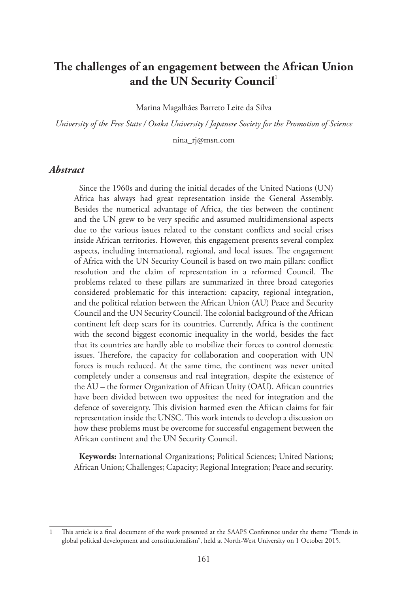# **The challenges of an engagement between the African Union**  and the UN Security Council<sup>1</sup>

Marina Magalhães Barreto Leite da Silva

*University of the Free State / Osaka University / Japanese Society for the Promotion of Science*

nina\_rj@msn.com

#### *Abstract*

Since the 1960s and during the initial decades of the United Nations (UN) Africa has always had great representation inside the General Assembly. Besides the numerical advantage of Africa, the ties between the continent and the UN grew to be very specific and assumed multidimensional aspects due to the various issues related to the constant conflicts and social crises inside African territories. However, this engagement presents several complex aspects, including international, regional, and local issues. The engagement of Africa with the UN Security Council is based on two main pillars: conflict resolution and the claim of representation in a reformed Council. The problems related to these pillars are summarized in three broad categories considered problematic for this interaction: capacity, regional integration, and the political relation between the African Union (AU) Peace and Security Council and the UN Security Council. The colonial background of the African continent left deep scars for its countries. Currently, Africa is the continent with the second biggest economic inequality in the world, besides the fact that its countries are hardly able to mobilize their forces to control domestic issues. Therefore, the capacity for collaboration and cooperation with UN forces is much reduced. At the same time, the continent was never united completely under a consensus and real integration, despite the existence of the AU – the former Organization of African Unity (OAU). African countries have been divided between two opposites: the need for integration and the defence of sovereignty. This division harmed even the African claims for fair representation inside the UNSC. This work intends to develop a discussion on how these problems must be overcome for successful engagement between the African continent and the UN Security Council.

**Keywords:** International Organizations; Political Sciences; United Nations; African Union; Challenges; Capacity; Regional Integration; Peace and security.

<sup>1</sup> This article is a final document of the work presented at the SAAPS Conference under the theme "Trends in global political development and constitutionalism", held at North-West University on 1 October 2015.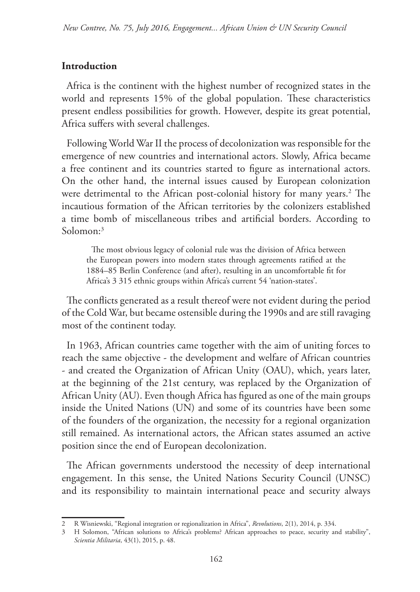### **Introduction**

Africa is the continent with the highest number of recognized states in the world and represents 15% of the global population. These characteristics present endless possibilities for growth. However, despite its great potential, Africa suffers with several challenges.

Following World War II the process of decolonization was responsible for the emergence of new countries and international actors. Slowly, Africa became a free continent and its countries started to figure as international actors. On the other hand, the internal issues caused by European colonization were detrimental to the African post-colonial history for many years.<sup>2</sup> The incautious formation of the African territories by the colonizers established a time bomb of miscellaneous tribes and artificial borders. According to Solomon:3

The most obvious legacy of colonial rule was the division of Africa between the European powers into modern states through agreements ratified at the 1884–85 Berlin Conference (and after), resulting in an uncomfortable fit for Africa's 3 315 ethnic groups within Africa's current 54 'nation-states'.

The conflicts generated as a result thereof were not evident during the period of the Cold War, but became ostensible during the 1990s and are still ravaging most of the continent today.

In 1963, African countries came together with the aim of uniting forces to reach the same objective - the development and welfare of African countries - and created the Organization of African Unity (OAU), which, years later, at the beginning of the 21st century, was replaced by the Organization of African Unity (AU). Even though Africa has figured as one of the main groups inside the United Nations (UN) and some of its countries have been some of the founders of the organization, the necessity for a regional organization still remained. As international actors, the African states assumed an active position since the end of European decolonization.

The African governments understood the necessity of deep international engagement. In this sense, the United Nations Security Council (UNSC) and its responsibility to maintain international peace and security always

<sup>2</sup> R Wisniewski, "Regional integration or regionalization in Africa", *Revolutions*, 2(1), 2014, p. 334.

<sup>3</sup> H Solomon, "African solutions to Africa's problems? African approaches to peace, security and stability", *Scientia Militaria*, 43(1), 2015, p. 48.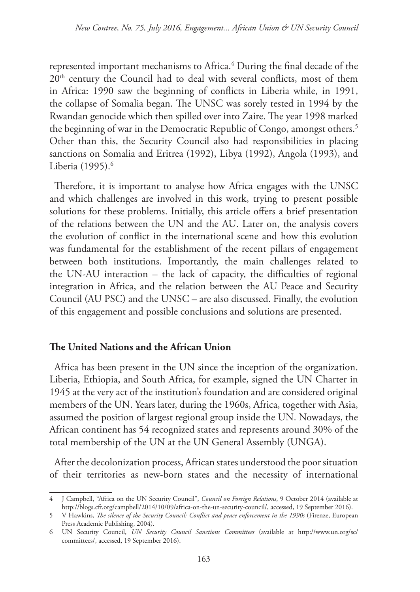represented important mechanisms to Africa.4 During the final decade of the 20<sup>th</sup> century the Council had to deal with several conflicts, most of them in Africa: 1990 saw the beginning of conflicts in Liberia while, in 1991, the collapse of Somalia began. The UNSC was sorely tested in 1994 by the Rwandan genocide which then spilled over into Zaire. The year 1998 marked the beginning of war in the Democratic Republic of Congo, amongst others.<sup>5</sup> Other than this, the Security Council also had responsibilities in placing sanctions on Somalia and Eritrea (1992), Libya (1992), Angola (1993), and Liberia (1995).<sup>6</sup>

Therefore, it is important to analyse how Africa engages with the UNSC and which challenges are involved in this work, trying to present possible solutions for these problems. Initially, this article offers a brief presentation of the relations between the UN and the AU. Later on, the analysis covers the evolution of conflict in the international scene and how this evolution was fundamental for the establishment of the recent pillars of engagement between both institutions. Importantly, the main challenges related to the UN-AU interaction – the lack of capacity, the difficulties of regional integration in Africa, and the relation between the AU Peace and Security Council (AU PSC) and the UNSC – are also discussed. Finally, the evolution of this engagement and possible conclusions and solutions are presented.

#### **The United Nations and the African Union**

Africa has been present in the UN since the inception of the organization. Liberia, Ethiopia, and South Africa, for example, signed the UN Charter in 1945 at the very act of the institution's foundation and are considered original members of the UN. Years later, during the 1960s, Africa, together with Asia, assumed the position of largest regional group inside the UN. Nowadays, the African continent has 54 recognized states and represents around 30% of the total membership of the UN at the UN General Assembly (UNGA).

After the decolonization process, African states understood the poor situation of their territories as new-born states and the necessity of international

<sup>4</sup> J Campbell, "Africa on the UN Security Council", *Council on Foreign Relations*, 9 October 2014 (available at http://blogs.cfr.org/campbell/2014/10/09/africa-on-the-un-security-council/, accessed, 19 September 2016).

<sup>5</sup> V Hawkins, *The silence of the Security Council: Conflict and peace enforcement in the 1990s* (Firenze, European Press Academic Publishing, 2004).

<sup>6</sup> UN Security Council, *UN Security Council Sanctions Committees* (available at http://www.un.org/sc/ committees/, accessed, 19 September 2016).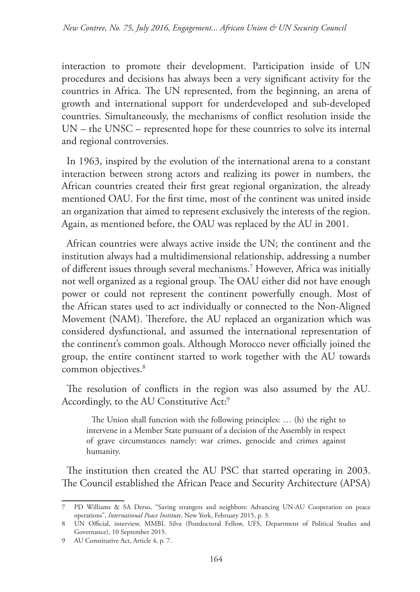interaction to promote their development. Participation inside of UN procedures and decisions has always been a very significant activity for the countries in Africa. The UN represented, from the beginning, an arena of growth and international support for underdeveloped and sub-developed countries. Simultaneously, the mechanisms of conflict resolution inside the UN – the UNSC – represented hope for these countries to solve its internal and regional controversies.

In 1963, inspired by the evolution of the international arena to a constant interaction between strong actors and realizing its power in numbers, the African countries created their first great regional organization, the already mentioned OAU. For the first time, most of the continent was united inside an organization that aimed to represent exclusively the interests of the region. Again, as mentioned before, the OAU was replaced by the AU in 2001.

African countries were always active inside the UN; the continent and the institution always had a multidimensional relationship, addressing a number of different issues through several mechanisms.7 However, Africa was initially not well organized as a regional group. The OAU either did not have enough power or could not represent the continent powerfully enough. Most of the African states used to act individually or connected to the Non-Aligned Movement (NAM). Therefore, the AU replaced an organization which was considered dysfunctional, and assumed the international representation of the continent's common goals. Although Morocco never officially joined the group, the entire continent started to work together with the AU towards common objectives.<sup>8</sup>

The resolution of conflicts in the region was also assumed by the AU. Accordingly, to the AU Constitutive Act:<sup>9</sup>

The Union shall function with the following principles: … (h) the right to intervene in a Member State pursuant of a decision of the Assembly in respect of grave circumstances namely: war crimes, genocide and crimes against humanity.

The institution then created the AU PSC that started operating in 2003. The Council established the African Peace and Security Architecture (APSA)

<sup>7</sup> PD Williams & SA Derso, "Saving strangers and neighbors: Advancing UN-AU Cooperation on peace operations", *International Peace Institute*, New York, February 2015, p. 3.

<sup>8</sup> UN Official, interview, MMBL Silva (Postdoctoral Fellow, UFS, Department of Political Studies and Governance), 10 September 2015.

<sup>9</sup> AU Constitutive Act, Article 4, p. 7.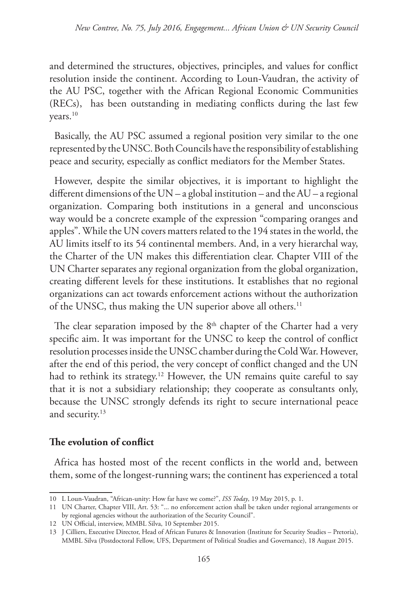and determined the structures, objectives, principles, and values for conflict resolution inside the continent. According to Loun-Vaudran, the activity of the AU PSC, together with the African Regional Economic Communities (RECs), has been outstanding in mediating conflicts during the last few years.10

Basically, the AU PSC assumed a regional position very similar to the one represented by the UNSC. Both Councils have the responsibility of establishing peace and security, especially as conflict mediators for the Member States.

However, despite the similar objectives, it is important to highlight the different dimensions of the UN – a global institution – and the AU – a regional organization. Comparing both institutions in a general and unconscious way would be a concrete example of the expression "comparing oranges and apples". While the UN covers matters related to the 194 states in the world, the AU limits itself to its 54 continental members. And, in a very hierarchal way, the Charter of the UN makes this differentiation clear. Chapter VIII of the UN Charter separates any regional organization from the global organization, creating different levels for these institutions. It establishes that no regional organizations can act towards enforcement actions without the authorization of the UNSC, thus making the UN superior above all others.<sup>11</sup>

The clear separation imposed by the  $8<sup>th</sup>$  chapter of the Charter had a very specific aim. It was important for the UNSC to keep the control of conflict resolution processes inside the UNSC chamber during the Cold War. However, after the end of this period, the very concept of conflict changed and the UN had to rethink its strategy.<sup>12</sup> However, the UN remains quite careful to say that it is not a subsidiary relationship; they cooperate as consultants only, because the UNSC strongly defends its right to secure international peace and security.13

### **The evolution of conflict**

Africa has hosted most of the recent conflicts in the world and, between them, some of the longest-running wars; the continent has experienced a total

<sup>10</sup> L Loun-Vaudran, "African-unity: How far have we come?", *ISS Today*, 19 May 2015, p. 1.

<sup>11</sup> UN Charter, Chapter VIII, Art. 53: "... no enforcement action shall be taken under regional arrangements or by regional agencies without the authorization of the Security Council".

<sup>12</sup> UN Official, interview, MMBL Silva, 10 September 2015.

<sup>13</sup> J Cilliers, Executive Director, Head of African Futures & Innovation (Institute for Security Studies – Pretoria), MMBL Silva (Postdoctoral Fellow, UFS, Department of Political Studies and Governance), 18 August 2015.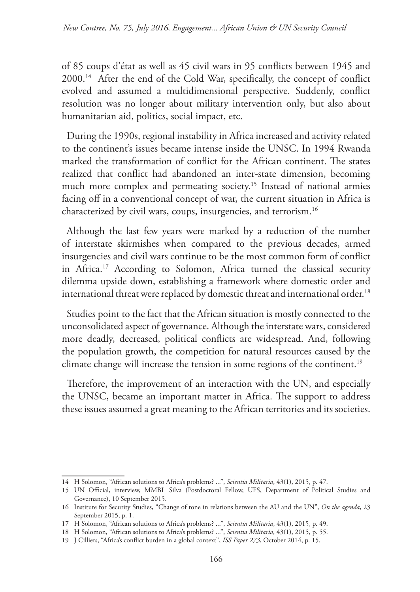of 85 coups d'état as well as 45 civil wars in 95 conflicts between 1945 and 2000.14 After the end of the Cold War, specifically, the concept of conflict evolved and assumed a multidimensional perspective. Suddenly, conflict resolution was no longer about military intervention only, but also about humanitarian aid, politics, social impact, etc.

During the 1990s, regional instability in Africa increased and activity related to the continent's issues became intense inside the UNSC. In 1994 Rwanda marked the transformation of conflict for the African continent. The states realized that conflict had abandoned an inter-state dimension, becoming much more complex and permeating society.<sup>15</sup> Instead of national armies facing off in a conventional concept of war, the current situation in Africa is characterized by civil wars, coups, insurgencies, and terrorism.16

Although the last few years were marked by a reduction of the number of interstate skirmishes when compared to the previous decades, armed insurgencies and civil wars continue to be the most common form of conflict in Africa.17 According to Solomon, Africa turned the classical security dilemma upside down, establishing a framework where domestic order and international threat were replaced by domestic threat and international order.<sup>18</sup>

Studies point to the fact that the African situation is mostly connected to the unconsolidated aspect of governance. Although the interstate wars, considered more deadly, decreased, political conflicts are widespread. And, following the population growth, the competition for natural resources caused by the climate change will increase the tension in some regions of the continent.<sup>19</sup>

Therefore, the improvement of an interaction with the UN, and especially the UNSC, became an important matter in Africa. The support to address these issues assumed a great meaning to the African territories and its societies.

<sup>14</sup> H Solomon, "African solutions to Africa's problems? ...", *Scientia Militaria*, 43(1), 2015, p. 47.

<sup>15</sup> UN Official, interview, MMBL Silva (Postdoctoral Fellow, UFS, Department of Political Studies and Governance), 10 September 2015.

<sup>16</sup> Institute for Security Studies, "Change of tone in relations between the AU and the UN", *On the agenda*, 23 September 2015, p. 1.

<sup>17</sup> H Solomon, "African solutions to Africa's problems? ...", *Scientia Militaria*, 43(1), 2015, p. 49.

<sup>18</sup> H Solomon, "African solutions to Africa's problems? ...", *Scientia Militaria*, 43(1), 2015, p. 55.

<sup>19</sup> J Cilliers, "Africa's conflict burden in a global context", *ISS Paper 273*, October 2014, p. 15.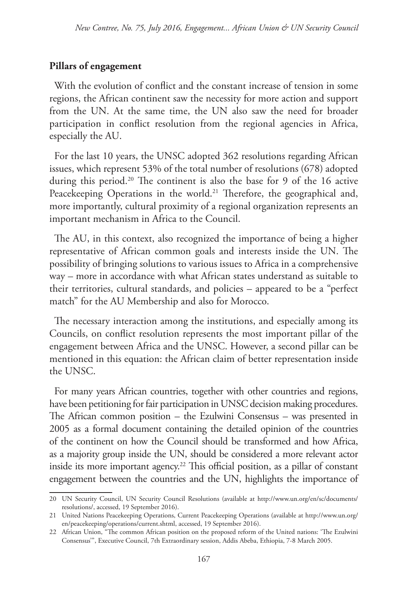#### **Pillars of engagement**

With the evolution of conflict and the constant increase of tension in some regions, the African continent saw the necessity for more action and support from the UN. At the same time, the UN also saw the need for broader participation in conflict resolution from the regional agencies in Africa, especially the AU.

For the last 10 years, the UNSC adopted 362 resolutions regarding African issues, which represent 53% of the total number of resolutions (678) adopted during this period.<sup>20</sup> The continent is also the base for 9 of the 16 active Peacekeeping Operations in the world.<sup>21</sup> Therefore, the geographical and, more importantly, cultural proximity of a regional organization represents an important mechanism in Africa to the Council.

The AU, in this context, also recognized the importance of being a higher representative of African common goals and interests inside the UN. The possibility of bringing solutions to various issues to Africa in a comprehensive way – more in accordance with what African states understand as suitable to their territories, cultural standards, and policies – appeared to be a "perfect match" for the AU Membership and also for Morocco.

The necessary interaction among the institutions, and especially among its Councils, on conflict resolution represents the most important pillar of the engagement between Africa and the UNSC. However, a second pillar can be mentioned in this equation: the African claim of better representation inside the UNSC.

For many years African countries, together with other countries and regions, have been petitioning for fair participation in UNSC decision making procedures. The African common position – the Ezulwini Consensus – was presented in 2005 as a formal document containing the detailed opinion of the countries of the continent on how the Council should be transformed and how Africa, as a majority group inside the UN, should be considered a more relevant actor inside its more important agency.<sup>22</sup> This official position, as a pillar of constant engagement between the countries and the UN, highlights the importance of

<sup>20</sup> UN Security Council, UN Security Council Resolutions (available at http://www.un.org/en/sc/documents/ resolutions/, accessed, 19 September 2016).

<sup>21</sup> United Nations Peacekeeping Operations, Current Peacekeeping Operations (available at http://www.un.org/ en/peacekeeping/operations/current.shtml, accessed, 19 September 2016).

<sup>22</sup> African Union, "The common African position on the proposed reform of the United nations: 'The Ezulwini Consensus'", Executive Council, 7th Extraordinary session, Addis Abeba, Ethiopia, 7-8 March 2005.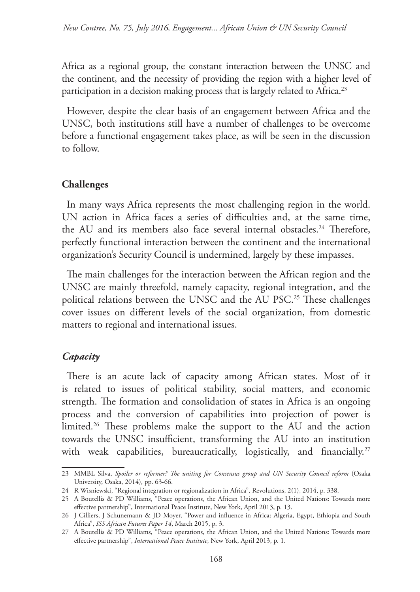Africa as a regional group, the constant interaction between the UNSC and the continent, and the necessity of providing the region with a higher level of participation in a decision making process that is largely related to Africa.<sup>23</sup>

However, despite the clear basis of an engagement between Africa and the UNSC, both institutions still have a number of challenges to be overcome before a functional engagement takes place, as will be seen in the discussion to follow.

### **Challenges**

In many ways Africa represents the most challenging region in the world. UN action in Africa faces a series of difficulties and, at the same time, the AU and its members also face several internal obstacles.<sup>24</sup> Therefore, perfectly functional interaction between the continent and the international organization's Security Council is undermined, largely by these impasses.

The main challenges for the interaction between the African region and the UNSC are mainly threefold, namely capacity, regional integration, and the political relations between the UNSC and the AU PSC.<sup>25</sup> These challenges cover issues on different levels of the social organization, from domestic matters to regional and international issues.

## *Capacity*

There is an acute lack of capacity among African states. Most of it is related to issues of political stability, social matters, and economic strength. The formation and consolidation of states in Africa is an ongoing process and the conversion of capabilities into projection of power is limited.<sup>26</sup> These problems make the support to the AU and the action towards the UNSC insufficient, transforming the AU into an institution with weak capabilities, bureaucratically, logistically, and financially.<sup>27</sup>

<sup>23</sup> MMBL Silva, *Spoiler or reformer? The uniting for Consensus group and UN Security Council reform* (Osaka University, Osaka, 2014), pp. 63-66.

<sup>24</sup> R Wisniewski, "Regional integration or regionalization in Africa", Revolutions, 2(1), 2014, p. 338.

<sup>25</sup> A Boutellis & PD Williams, "Peace operations, the African Union, and the United Nations: Towards more effective partnership", International Peace Institute, New York, April 2013, p. 13.

<sup>26</sup> J Cilliers, J Schunemann & JD Moyer, "Power and influence in Africa: Algeria, Egypt, Ethiopia and South Africa", *ISS African Futures Paper 14*, March 2015, p. 3.

<sup>27</sup> A Boutellis & PD Williams, "Peace operations, the African Union, and the United Nations: Towards more effective partnership", *International Peace Institute*, New York, April 2013, p. 1.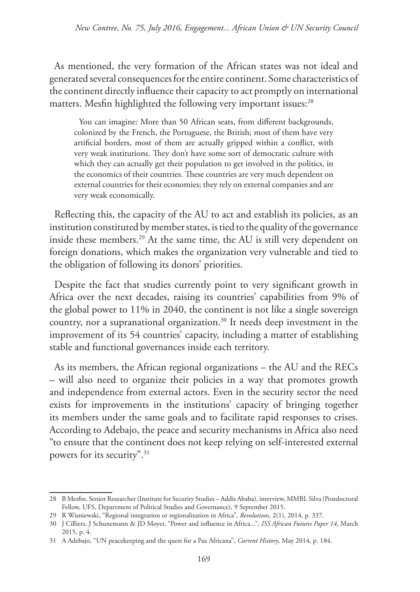As mentioned, the very formation of the African states was not ideal and generated several consequences for the entire continent. Some characteristics of the continent directly influence their capacity to act promptly on international matters. Mesfin highlighted the following very important issues:<sup>28</sup>

You can imagine: More than 50 African seats, from different backgrounds, colonized by the French, the Portuguese, the British; most of them have very artificial borders, most of them are actually gripped within a conflict, with very weak institutions. They don't have some sort of democratic culture with which they can actually get their population to get involved in the politics, in the economics of their countries. These countries are very much dependent on external countries for their economies; they rely on external companies and are very weak economically.

Reflecting this, the capacity of the AU to act and establish its policies, as an institution constituted by member states, is tied to the quality of the governance inside these members.<sup>29</sup> At the same time, the AU is still very dependent on foreign donations, which makes the organization very vulnerable and tied to the obligation of following its donors' priorities.

Despite the fact that studies currently point to very significant growth in Africa over the next decades, raising its countries' capabilities from 9% of the global power to 11% in 2040, the continent is not like a single sovereign country, nor a supranational organization.30 It needs deep investment in the improvement of its 54 countries' capacity, including a matter of establishing stable and functional governances inside each territory.

As its members, the African regional organizations – the AU and the RECs – will also need to organize their policies in a way that promotes growth and independence from external actors. Even in the security sector the need exists for improvements in the institutions' capacity of bringing together its members under the same goals and to facilitate rapid responses to crises. According to Adebajo, the peace and security mechanisms in Africa also need "to ensure that the continent does not keep relying on self-interested external powers for its security".<sup>31</sup>

<sup>28</sup> B Mesfin, Senior Researcher (Institute for Security Studies – Addis Ababa), interview, MMBL Silva (Postdoctoral Fellow, UFS, Department of Political Studies and Governance), 9 September 2015.

<sup>29</sup> R Wisniewski, "Regional integration or regionalization in Africa", *Revolutions*, 2(1), 2014, p. 337.

<sup>30</sup> J Cilliers, J Schunemann & JD Moyer, "Power and influence in Africa...", *ISS African Futures Paper 14*, March 2015, p. 4.

<sup>31</sup> A Adebajo, "UN peacekeeping and the quest for a Pax Africana", *Current History*, May 2014, p. 184.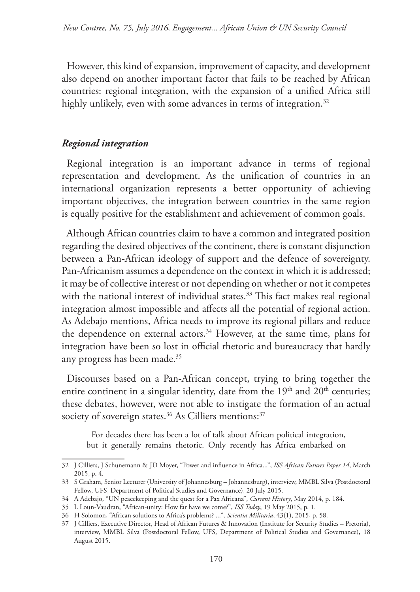However, this kind of expansion, improvement of capacity, and development also depend on another important factor that fails to be reached by African countries: regional integration, with the expansion of a unified Africa still highly unlikely, even with some advances in terms of integration.<sup>32</sup>

#### *Regional integration*

Regional integration is an important advance in terms of regional representation and development. As the unification of countries in an international organization represents a better opportunity of achieving important objectives, the integration between countries in the same region is equally positive for the establishment and achievement of common goals.

Although African countries claim to have a common and integrated position regarding the desired objectives of the continent, there is constant disjunction between a Pan-African ideology of support and the defence of sovereignty. Pan-Africanism assumes a dependence on the context in which it is addressed; it may be of collective interest or not depending on whether or not it competes with the national interest of individual states.<sup>33</sup> This fact makes real regional integration almost impossible and affects all the potential of regional action. As Adebajo mentions, Africa needs to improve its regional pillars and reduce the dependence on external actors.<sup>34</sup> However, at the same time, plans for integration have been so lost in official rhetoric and bureaucracy that hardly any progress has been made.<sup>35</sup>

Discourses based on a Pan-African concept, trying to bring together the entire continent in a singular identity, date from the  $19<sup>th</sup>$  and  $20<sup>th</sup>$  centuries; these debates, however, were not able to instigate the formation of an actual society of sovereign states.<sup>36</sup> As Cilliers mentions:<sup>37</sup>

For decades there has been a lot of talk about African political integration, but it generally remains rhetoric. Only recently has Africa embarked on

<sup>32</sup> J Cilliers, J Schunemann & JD Moyer, "Power and influence in Africa...", *ISS African Futures Paper 14*, March 2015, p. 4.

<sup>33</sup> S Graham, Senior Lecturer (University of Johannesburg – Johannesburg), interview, MMBL Silva (Postdoctoral Fellow, UFS, Department of Political Studies and Governance), 20 July 2015.

<sup>34</sup> A Adebajo, "UN peacekeeping and the quest for a Pax Africana", *Current History*, May 2014, p. 184.

<sup>35</sup> L Loun-Vaudran, "African-unity: How far have we come?", *ISS Today*, 19 May 2015, p. 1.

<sup>36</sup> H Solomon, "African solutions to Africa's problems? ...", *Scientia Militaria*, 43(1), 2015, p. 58.

<sup>37</sup> J Cilliers, Executive Director, Head of African Futures & Innovation (Institute for Security Studies – Pretoria), interview, MMBL Silva (Postdoctoral Fellow, UFS, Department of Political Studies and Governance), 18 August 2015.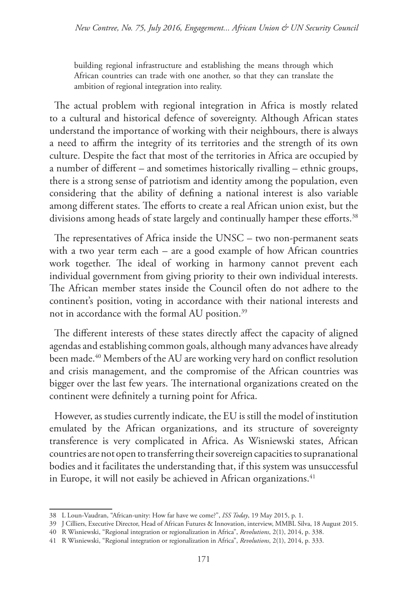building regional infrastructure and establishing the means through which African countries can trade with one another, so that they can translate the ambition of regional integration into reality.

The actual problem with regional integration in Africa is mostly related to a cultural and historical defence of sovereignty. Although African states understand the importance of working with their neighbours, there is always a need to affirm the integrity of its territories and the strength of its own culture. Despite the fact that most of the territories in Africa are occupied by a number of different – and sometimes historically rivalling – ethnic groups, there is a strong sense of patriotism and identity among the population, even considering that the ability of defining a national interest is also variable among different states. The efforts to create a real African union exist, but the divisions among heads of state largely and continually hamper these efforts.<sup>38</sup>

The representatives of Africa inside the UNSC – two non-permanent seats with a two year term each – are a good example of how African countries work together. The ideal of working in harmony cannot prevent each individual government from giving priority to their own individual interests. The African member states inside the Council often do not adhere to the continent's position, voting in accordance with their national interests and not in accordance with the formal AU position.<sup>39</sup>

The different interests of these states directly affect the capacity of aligned agendas and establishing common goals, although many advances have already been made.<sup>40</sup> Members of the AU are working very hard on conflict resolution and crisis management, and the compromise of the African countries was bigger over the last few years. The international organizations created on the continent were definitely a turning point for Africa.

However, as studies currently indicate, the EU is still the model of institution emulated by the African organizations, and its structure of sovereignty transference is very complicated in Africa. As Wisniewski states, African countries are not open to transferring their sovereign capacities to supranational bodies and it facilitates the understanding that, if this system was unsuccessful in Europe, it will not easily be achieved in African organizations. $41$ 

<sup>38</sup> L Loun-Vaudran, "African-unity: How far have we come?", *ISS Today*, 19 May 2015, p. 1.

<sup>39</sup> J Cilliers, Executive Director, Head of African Futures & Innovation, interview, MMBL Silva, 18 August 2015.

<sup>40</sup> R Wisniewski, "Regional integration or regionalization in Africa", *Revolutions*, 2(1), 2014, p. 338.

<sup>41</sup> R Wisniewski, "Regional integration or regionalization in Africa", *Revolutions*, 2(1), 2014, p. 333.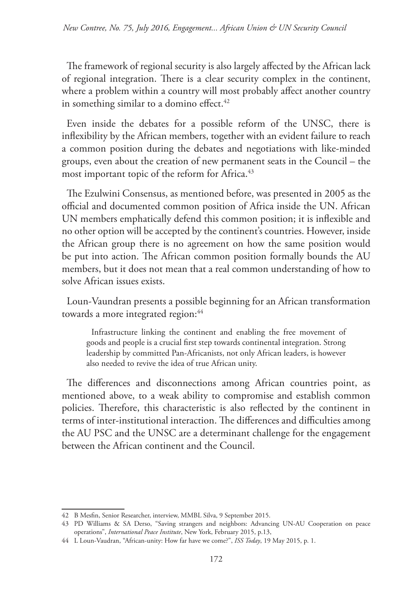The framework of regional security is also largely affected by the African lack of regional integration. There is a clear security complex in the continent, where a problem within a country will most probably affect another country in something similar to a domino effect.<sup>42</sup>

Even inside the debates for a possible reform of the UNSC, there is inflexibility by the African members, together with an evident failure to reach a common position during the debates and negotiations with like-minded groups, even about the creation of new permanent seats in the Council – the most important topic of the reform for Africa.<sup>43</sup>

The Ezulwini Consensus, as mentioned before, was presented in 2005 as the official and documented common position of Africa inside the UN. African UN members emphatically defend this common position; it is inflexible and no other option will be accepted by the continent's countries. However, inside the African group there is no agreement on how the same position would be put into action. The African common position formally bounds the AU members, but it does not mean that a real common understanding of how to solve African issues exists.

Loun-Vaundran presents a possible beginning for an African transformation towards a more integrated region:<sup>44</sup>

Infrastructure linking the continent and enabling the free movement of goods and people is a crucial first step towards continental integration. Strong leadership by committed Pan-Africanists, not only African leaders, is however also needed to revive the idea of true African unity.

The differences and disconnections among African countries point, as mentioned above, to a weak ability to compromise and establish common policies. Therefore, this characteristic is also reflected by the continent in terms of inter-institutional interaction. The differences and difficulties among the AU PSC and the UNSC are a determinant challenge for the engagement between the African continent and the Council.

<sup>42</sup> B Mesfin, Senior Researcher, interview, MMBL Silva, 9 September 2015.

<sup>43</sup> PD Williams & SA Derso, "Saving strangers and neighbors: Advancing UN-AU Cooperation on peace operations", *International Peace Institute*, New York, February 2015, p.13,

<sup>44</sup> L Loun-Vaudran, "African-unity: How far have we come?", *ISS Today*, 19 May 2015, p. 1.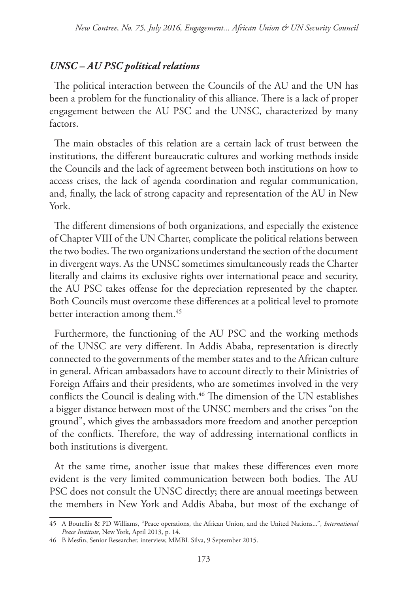### *UNSC – AU PSC political relations*

The political interaction between the Councils of the AU and the UN has been a problem for the functionality of this alliance. There is a lack of proper engagement between the AU PSC and the UNSC, characterized by many factors.

The main obstacles of this relation are a certain lack of trust between the institutions, the different bureaucratic cultures and working methods inside the Councils and the lack of agreement between both institutions on how to access crises, the lack of agenda coordination and regular communication, and, finally, the lack of strong capacity and representation of the AU in New York.

The different dimensions of both organizations, and especially the existence of Chapter VIII of the UN Charter, complicate the political relations between the two bodies. The two organizations understand the section of the document in divergent ways. As the UNSC sometimes simultaneously reads the Charter literally and claims its exclusive rights over international peace and security, the AU PSC takes offense for the depreciation represented by the chapter. Both Councils must overcome these differences at a political level to promote better interaction among them.<sup>45</sup>

Furthermore, the functioning of the AU PSC and the working methods of the UNSC are very different. In Addis Ababa, representation is directly connected to the governments of the member states and to the African culture in general. African ambassadors have to account directly to their Ministries of Foreign Affairs and their presidents, who are sometimes involved in the very conflicts the Council is dealing with.<sup>46</sup> The dimension of the UN establishes a bigger distance between most of the UNSC members and the crises "on the ground", which gives the ambassadors more freedom and another perception of the conflicts. Therefore, the way of addressing international conflicts in both institutions is divergent.

At the same time, another issue that makes these differences even more evident is the very limited communication between both bodies. The AU PSC does not consult the UNSC directly; there are annual meetings between the members in New York and Addis Ababa, but most of the exchange of

<sup>45</sup> A Boutellis & PD Williams, "Peace operations, the African Union, and the United Nations...", *International Peace Institute*, New York, April 2013, p. 14.

<sup>46</sup> B Mesfin, Senior Researcher, interview, MMBL Silva, 9 September 2015.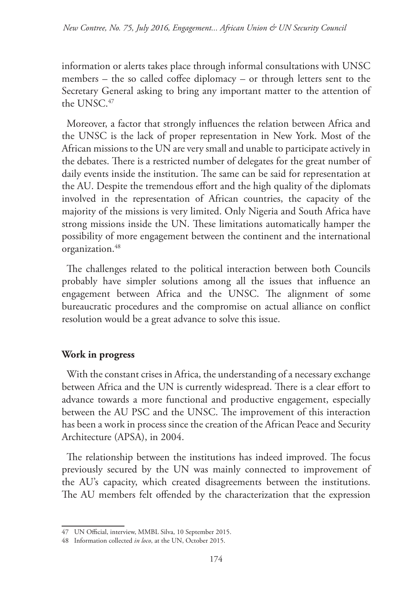information or alerts takes place through informal consultations with UNSC members – the so called coffee diplomacy – or through letters sent to the Secretary General asking to bring any important matter to the attention of the UNSC.<sup>47</sup>

Moreover, a factor that strongly influences the relation between Africa and the UNSC is the lack of proper representation in New York. Most of the African missions to the UN are very small and unable to participate actively in the debates. There is a restricted number of delegates for the great number of daily events inside the institution. The same can be said for representation at the AU. Despite the tremendous effort and the high quality of the diplomats involved in the representation of African countries, the capacity of the majority of the missions is very limited. Only Nigeria and South Africa have strong missions inside the UN. These limitations automatically hamper the possibility of more engagement between the continent and the international organization.<sup>48</sup>

The challenges related to the political interaction between both Councils probably have simpler solutions among all the issues that influence an engagement between Africa and the UNSC. The alignment of some bureaucratic procedures and the compromise on actual alliance on conflict resolution would be a great advance to solve this issue.

## **Work in progress**

With the constant crises in Africa, the understanding of a necessary exchange between Africa and the UN is currently widespread. There is a clear effort to advance towards a more functional and productive engagement, especially between the AU PSC and the UNSC. The improvement of this interaction has been a work in process since the creation of the African Peace and Security Architecture (APSA), in 2004.

The relationship between the institutions has indeed improved. The focus previously secured by the UN was mainly connected to improvement of the AU's capacity, which created disagreements between the institutions. The AU members felt offended by the characterization that the expression

<sup>47</sup> UN Official, interview, MMBL Silva, 10 September 2015.

<sup>48</sup> Information collected *in loco*, at the UN, October 2015.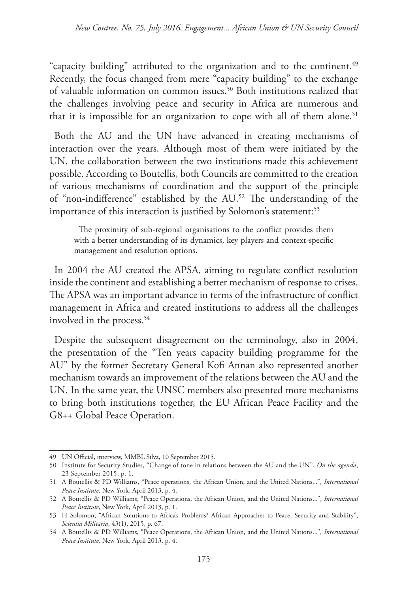"capacity building" attributed to the organization and to the continent.<sup>49</sup> Recently, the focus changed from mere "capacity building" to the exchange of valuable information on common issues.<sup>50</sup> Both institutions realized that the challenges involving peace and security in Africa are numerous and that it is impossible for an organization to cope with all of them alone.<sup>51</sup>

Both the AU and the UN have advanced in creating mechanisms of interaction over the years. Although most of them were initiated by the UN, the collaboration between the two institutions made this achievement possible. According to Boutellis, both Councils are committed to the creation of various mechanisms of coordination and the support of the principle of "non-indifference" established by the AU.52 The understanding of the importance of this interaction is justified by Solomon's statement:<sup>53</sup>

The proximity of sub-regional organisations to the conflict provides them with a better understanding of its dynamics, key players and context-specific management and resolution options.

In 2004 the AU created the APSA, aiming to regulate conflict resolution inside the continent and establishing a better mechanism of response to crises. The APSA was an important advance in terms of the infrastructure of conflict management in Africa and created institutions to address all the challenges involved in the process.<sup>54</sup>

Despite the subsequent disagreement on the terminology, also in 2004, the presentation of the "Ten years capacity building programme for the AU" by the former Secretary General Kofi Annan also represented another mechanism towards an improvement of the relations between the AU and the UN. In the same year, the UNSC members also presented more mechanisms to bring both institutions together, the EU African Peace Facility and the G8++ Global Peace Operation.

<sup>49</sup> UN Official, interview, MMBL Silva, 10 September 2015.

<sup>50</sup> Institute for Security Studies, "Change of tone in relations between the AU and the UN", *On the agenda*, 23 September 2015, p. 1.

<sup>51</sup> A Boutellis & PD Williams, "Peace operations, the African Union, and the United Nations...", *International Peace Institute*, New York, April 2013, p. 4.

<sup>52</sup> A Boutellis & PD Williams, "Peace Operations, the African Union, and the United Nations...", *International Peace Institute*, New York, April 2013, p. 1.

<sup>53</sup> H Solomon, "African Solutions to Africa's Problems? African Approaches to Peace, Security and Stability", *Scientia Militaria*, 43(1), 2015, p. 67.

<sup>54</sup> A Boutellis & PD Williams, "Peace Operations, the African Union, and the United Nations...", *International Peace Institute*, New York, April 2013, p. 4.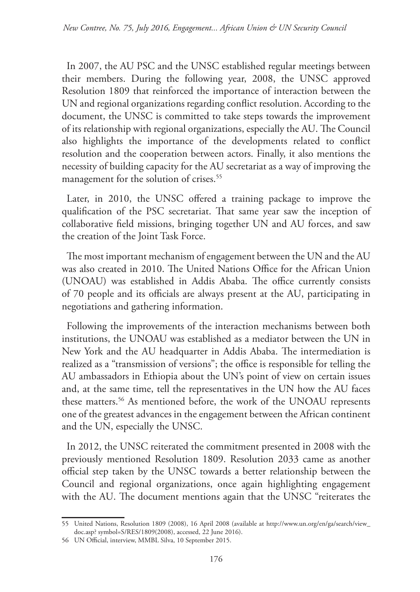In 2007, the AU PSC and the UNSC established regular meetings between their members. During the following year, 2008, the UNSC approved Resolution 1809 that reinforced the importance of interaction between the UN and regional organizations regarding conflict resolution. According to the document, the UNSC is committed to take steps towards the improvement of its relationship with regional organizations, especially the AU. The Council also highlights the importance of the developments related to conflict resolution and the cooperation between actors. Finally, it also mentions the necessity of building capacity for the AU secretariat as a way of improving the management for the solution of crises.<sup>55</sup>

Later, in 2010, the UNSC offered a training package to improve the qualification of the PSC secretariat. That same year saw the inception of collaborative field missions, bringing together UN and AU forces, and saw the creation of the Joint Task Force.

The most important mechanism of engagement between the UN and the AU was also created in 2010. The United Nations Office for the African Union (UNOAU) was established in Addis Ababa. The office currently consists of 70 people and its officials are always present at the AU, participating in negotiations and gathering information.

Following the improvements of the interaction mechanisms between both institutions, the UNOAU was established as a mediator between the UN in New York and the AU headquarter in Addis Ababa. The intermediation is realized as a "transmission of versions"; the office is responsible for telling the AU ambassadors in Ethiopia about the UN's point of view on certain issues and, at the same time, tell the representatives in the UN how the AU faces these matters.<sup>56</sup> As mentioned before, the work of the UNOAU represents one of the greatest advances in the engagement between the African continent and the UN, especially the UNSC.

In 2012, the UNSC reiterated the commitment presented in 2008 with the previously mentioned Resolution 1809. Resolution 2033 came as another official step taken by the UNSC towards a better relationship between the Council and regional organizations, once again highlighting engagement with the AU. The document mentions again that the UNSC "reiterates the

<sup>55</sup> United Nations, Resolution 1809 (2008), 16 April 2008 (available at http://www.un.org/en/ga/search/view\_ doc.asp? symbol=S/RES/1809(2008), accessed, 22 June 2016).

<sup>56</sup> UN Official, interview, MMBL Silva, 10 September 2015.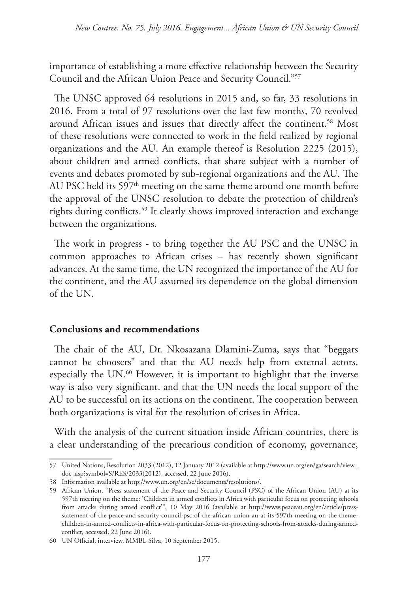importance of establishing a more effective relationship between the Security Council and the African Union Peace and Security Council."57

The UNSC approved 64 resolutions in 2015 and, so far, 33 resolutions in 2016. From a total of 97 resolutions over the last few months, 70 revolved around African issues and issues that directly affect the continent.<sup>58</sup> Most of these resolutions were connected to work in the field realized by regional organizations and the AU. An example thereof is Resolution 2225 (2015), about children and armed conflicts, that share subject with a number of events and debates promoted by sub-regional organizations and the AU. The AU PSC held its  $597<sup>th</sup>$  meeting on the same theme around one month before the approval of the UNSC resolution to debate the protection of children's rights during conflicts.59 It clearly shows improved interaction and exchange between the organizations.

The work in progress - to bring together the AU PSC and the UNSC in common approaches to African crises – has recently shown significant advances. At the same time, the UN recognized the importance of the AU for the continent, and the AU assumed its dependence on the global dimension of the UN.

#### **Conclusions and recommendations**

The chair of the AU, Dr. Nkosazana Dlamini-Zuma, says that "beggars cannot be choosers" and that the AU needs help from external actors, especially the UN.<sup>60</sup> However, it is important to highlight that the inverse way is also very significant, and that the UN needs the local support of the AU to be successful on its actions on the continent. The cooperation between both organizations is vital for the resolution of crises in Africa.

With the analysis of the current situation inside African countries, there is a clear understanding of the precarious condition of economy, governance,

<sup>57</sup> United Nations, Resolution 2033 (2012), 12 January 2012 (available at http://www.un.org/en/ga/search/view\_ doc .asp?symbol=S/RES/2033(2012), accessed, 22 June 2016).

<sup>58</sup> Information available at http://www.un.org/en/sc/documents/resolutions/.

<sup>59</sup> African Union, "Press statement of the Peace and Security Council (PSC) of the African Union (AU) at its 597th meeting on the theme: 'Children in armed conflicts in Africa with particular focus on protecting schools from attacks during armed conflict'", 10 May 2016 (available at http://www.peaceau.org/en/article/pressstatement-of-the-peace-and-security-council-psc-of-the-african-union-au-at-its-597th-meeting-on-the-themechildren-in-armed-conflicts-in-africa-with-particular-focus-on-protecting-schools-from-attacks-during-armedconflict, accessed, 22 June 2016).

<sup>60</sup> UN Official, interview, MMBL Silva, 10 September 2015.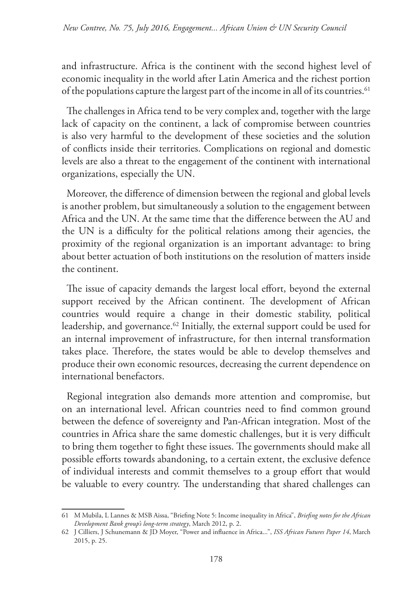and infrastructure. Africa is the continent with the second highest level of economic inequality in the world after Latin America and the richest portion of the populations capture the largest part of the income in all of its countries.<sup>61</sup>

The challenges in Africa tend to be very complex and, together with the large lack of capacity on the continent, a lack of compromise between countries is also very harmful to the development of these societies and the solution of conflicts inside their territories. Complications on regional and domestic levels are also a threat to the engagement of the continent with international organizations, especially the UN.

Moreover, the difference of dimension between the regional and global levels is another problem, but simultaneously a solution to the engagement between Africa and the UN. At the same time that the difference between the AU and the UN is a difficulty for the political relations among their agencies, the proximity of the regional organization is an important advantage: to bring about better actuation of both institutions on the resolution of matters inside the continent.

The issue of capacity demands the largest local effort, beyond the external support received by the African continent. The development of African countries would require a change in their domestic stability, political leadership, and governance.<sup>62</sup> Initially, the external support could be used for an internal improvement of infrastructure, for then internal transformation takes place. Therefore, the states would be able to develop themselves and produce their own economic resources, decreasing the current dependence on international benefactors.

Regional integration also demands more attention and compromise, but on an international level. African countries need to find common ground between the defence of sovereignty and Pan-African integration. Most of the countries in Africa share the same domestic challenges, but it is very difficult to bring them together to fight these issues. The governments should make all possible efforts towards abandoning, to a certain extent, the exclusive defence of individual interests and commit themselves to a group effort that would be valuable to every country. The understanding that shared challenges can

<sup>61</sup> M Mubila, L Lannes & MSB Aissa, "Briefing Note 5: Income inequality in Africa", *Briefing notes for the African Development Bank group's long-term strategy*, March 2012, p. 2.

<sup>62</sup> J Cilliers, J Schunemann & JD Moyer, "Power and influence in Africa...", *ISS African Futures Paper 14*, March 2015, p. 25.